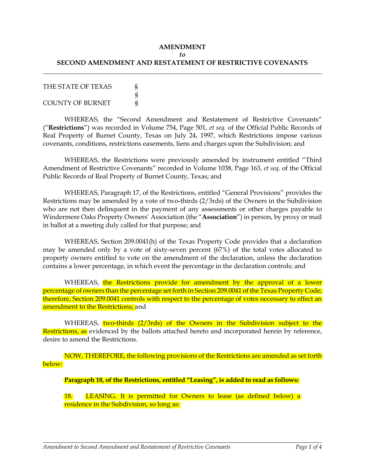## **AMENDMENT** *to* **SECOND AMENDMENT AND RESTATEMENT OF RESTRICTIVE COVENANTS**

| THE STATE OF TEXAS      |   |
|-------------------------|---|
|                         |   |
| <b>COUNTY OF BURNET</b> | ş |

WHEREAS, the "Second Amendment and Restatement of Restrictive Covenants" ("**Restrictions**") was recorded in Volume 754, Page 501, *et seq*. of the Official Public Records of Real Property of Burnet County, Texas on July 24, 1997, which Restrictions impose various covenants, conditions, restrictions easements, liens and charges upon the Subdivision; and

WHEREAS, the Restrictions were previously amended by instrument entitled "Third Amendment of Restrictive Covenants" recorded in Volume 1038, Page 163, *et seq*. of the Official Public Records of Real Property of Burnet County, Texas; and

WHEREAS, Paragraph 17, of the Restrictions, entitled "General Provisions" provides the Restrictions may be amended by a vote of two-thirds (2/3rds) of the Owners in the Subdivision who are not then delinquent in the payment of any assessments or other charges payable to Windermere Oaks Property Owners' Association (the "**Association**") in person, by proxy or mail in ballot at a meeting duly called for that purpose; and

WHEREAS, Section 209.0041(h) of the Texas Property Code provides that a declaration may be amended only by a vote of sixty-seven percent (67%) of the total votes allocated to property owners entitled to vote on the amendment of the declaration, unless the declaration contains a lower percentage, in which event the percentage in the declaration controls; and

WHEREAS, the Restrictions provide for amendment by the approval of a lower percentage of owners than the percentage set forth in Section 209.0041 of the Texas Property Code; therefore, Section 209.0041 controls with respect to the percentage of votes necessary to effect an amendment to the Restrictions; and

WHEREAS, two-thirds (2/3rds) of the Owners in the Subdivision subject to the Restrictions, as evidenced by the ballots attached hereto and incorporated herein by reference, desire to amend the Restrictions.

NOW, THEREFORE, the following provisions of the Restrictions are amended as set forth below:

**Paragraph 18, of the Restrictions, entitled "Leasing", is added to read as follows:**

18. LEASING. It is permitted for Owners to lease (as defined below) a residence in the Subdivision, so long as: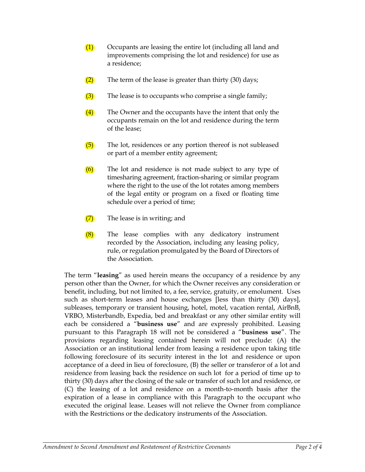- (1) Occupants are leasing the entire lot (including all land and improvements comprising the lot and residence) for use as a residence;
- $(2)$  The term of the lease is greater than thirty (30) days;
- (3) The lease is to occupants who comprise a single family;
- (4) The Owner and the occupants have the intent that only the occupants remain on the lot and residence during the term of the lease;
- (5) The lot, residences or any portion thereof is not subleased or part of a member entity agreement;
- $(6)$  The lot and residence is not made subject to any type of timesharing agreement, fraction-sharing or similar program where the right to the use of the lot rotates among members of the legal entity or program on a fixed or floating time schedule over a period of time;
- $(7)$  The lease is in writing; and
- (8) The lease complies with any dedicatory instrument recorded by the Association, including any leasing policy, rule, or regulation promulgated by the Board of Directors of the Association.

The term "**leasing**" as used herein means the occupancy of a residence by any person other than the Owner, for which the Owner receives any consideration or benefit, including, but not limited to, a fee, service, gratuity, or emolument. Uses such as short-term leases and house exchanges [less than thirty (30) days], subleases, temporary or transient housing, hotel, motel, vacation rental, AirBnB, VRBO, Misterbandb, Expedia, bed and breakfast or any other similar entity will each be considered a "**business use**" and are expressly prohibited. Leasing pursuant to this Paragraph 18 will not be considered a "**business use**". The provisions regarding leasing contained herein will not preclude: (A) the Association or an institutional lender from leasing a residence upon taking title following foreclosure of its security interest in the lot and residence or upon acceptance of a deed in lieu of foreclosure, (B) the seller or transferor of a lot and residence from leasing back the residence on such lot for a period of time up to thirty (30) days after the closing of the sale or transfer of such lot and residence, or (C) the leasing of a lot and residence on a month-to-month basis after the expiration of a lease in compliance with this Paragraph to the occupant who executed the original lease. Leases will not relieve the Owner from compliance with the Restrictions or the dedicatory instruments of the Association.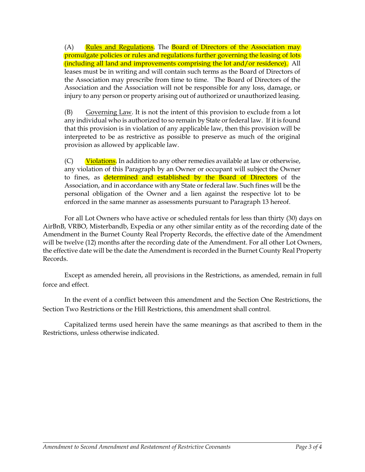(A) Rules and Regulations. The Board of Directors of the Association may promulgate policies or rules and regulations further governing the leasing of lots (including all land and improvements comprising the lot and/or residence). All leases must be in writing and will contain such terms as the Board of Directors of the Association may prescribe from time to time. The Board of Directors of the Association and the Association will not be responsible for any loss, damage, or injury to any person or property arising out of authorized or unauthorized leasing.

(B) Governing Law. It is not the intent of this provision to exclude from a lot any individual who is authorized to so remain by State or federal law. If it is found that this provision is in violation of any applicable law, then this provision will be interpreted to be as restrictive as possible to preserve as much of the original provision as allowed by applicable law.

 $(C)$  Violations. In addition to any other remedies available at law or otherwise, any violation of this Paragraph by an Owner or occupant will subject the Owner to fines, as **determined and established by the Board of Directors** of the Association, and in accordance with any State or federal law. Such fines will be the personal obligation of the Owner and a lien against the respective lot to be enforced in the same manner as assessments pursuant to Paragraph 13 hereof.

For all Lot Owners who have active or scheduled rentals for less than thirty (30) days on AirBnB, VRBO, Misterbandb, Expedia or any other similar entity as of the recording date of the Amendment in the Burnet County Real Property Records, the effective date of the Amendment will be twelve (12) months after the recording date of the Amendment. For all other Lot Owners, the effective date will be the date the Amendment is recorded in the Burnet County Real Property Records.

Except as amended herein, all provisions in the Restrictions, as amended, remain in full force and effect.

In the event of a conflict between this amendment and the Section One Restrictions, the Section Two Restrictions or the Hill Restrictions, this amendment shall control.

Capitalized terms used herein have the same meanings as that ascribed to them in the Restrictions, unless otherwise indicated.